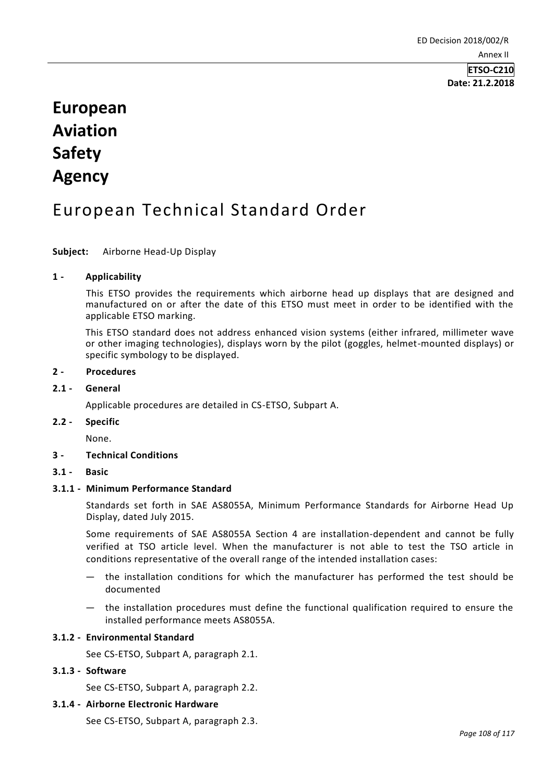# **European Aviation Safety Agency**

# European Technical Standard Order

#### **Subject:** Airborne Head-Up Display

#### **1 - Applicability**

This ETSO provides the requirements which airborne head up displays that are designed and manufactured on or after the date of this ETSO must meet in order to be identified with the applicable ETSO marking.

This ETSO standard does not address enhanced vision systems (either infrared, millimeter wave or other imaging technologies), displays worn by the pilot (goggles, helmet-mounted displays) or specific symbology to be displayed.

#### **2 - Procedures**

#### **2.1 - General**

Applicable procedures are detailed in CS-ETSO, Subpart A.

# **2.2 - Specific**

None.

# **3 - Technical Conditions**

# **3.1 - Basic**

#### **3.1.1 - Minimum Performance Standard**

Standards set forth in SAE AS8055A, Minimum Performance Standards for Airborne Head Up Display, dated July 2015.

Some requirements of SAE AS8055A Section 4 are installation-dependent and cannot be fully verified at TSO article level. When the manufacturer is not able to test the TSO article in conditions representative of the overall range of the intended installation cases:

- the installation conditions for which the manufacturer has performed the test should be documented
- the installation procedures must define the functional qualification required to ensure the installed performance meets AS8055A.

# **3.1.2 - Environmental Standard**

See CS-ETSO, Subpart A, paragraph 2.1.

#### **3.1.3 - Software**

See CS-ETSO, Subpart A, paragraph 2.2.

#### **3.1.4 - Airborne Electronic Hardware**

See CS-ETSO, Subpart A, paragraph 2.3.